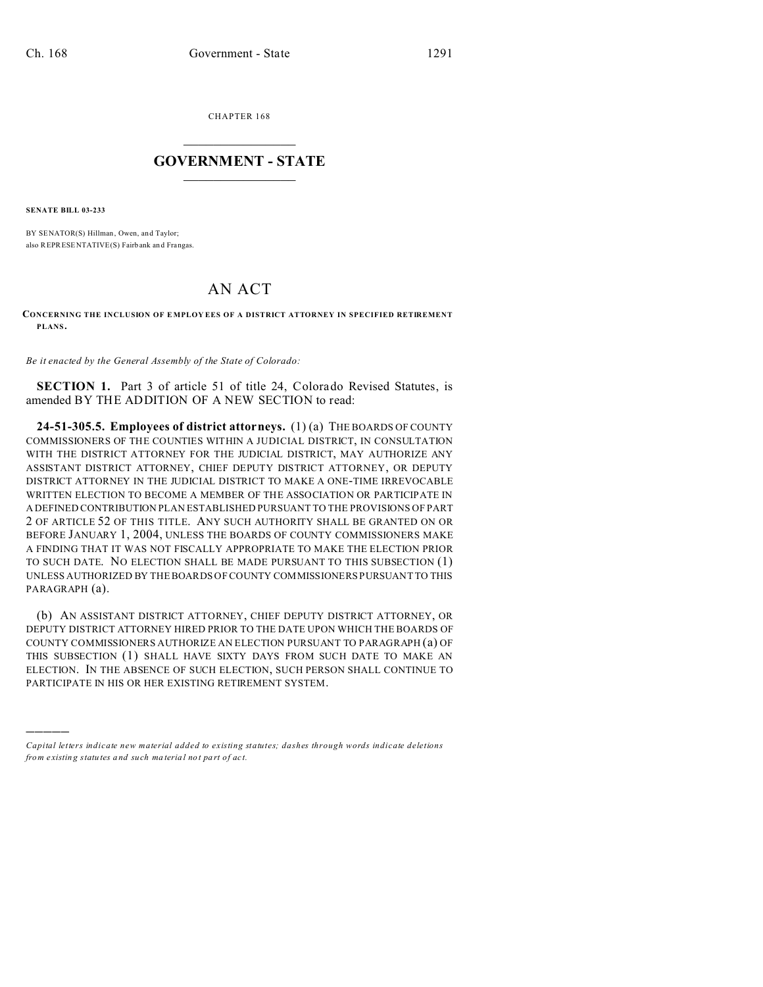CHAPTER 168  $\overline{\phantom{a}}$  , where  $\overline{\phantom{a}}$ 

## **GOVERNMENT - STATE**  $\_$   $\_$   $\_$   $\_$   $\_$   $\_$   $\_$   $\_$   $\_$

**SENATE BILL 03-233**

)))))

BY SENATOR(S) Hillman, Owen, and Taylor; also REPRESENTATIVE(S) Fairb ank an d Frangas.

## AN ACT

**CONCERNING THE INCLUSION OF E MPLOY EES OF A DISTRICT ATTORNEY IN SPECIFIED RETIREMENT PLANS.**

*Be it enacted by the General Assembly of the State of Colorado:*

**SECTION 1.** Part 3 of article 51 of title 24, Colorado Revised Statutes, is amended BY THE ADDITION OF A NEW SECTION to read:

**24-51-305.5. Employees of district attorneys.** (1) (a) THE BOARDS OF COUNTY COMMISSIONERS OF THE COUNTIES WITHIN A JUDICIAL DISTRICT, IN CONSULTATION WITH THE DISTRICT ATTORNEY FOR THE JUDICIAL DISTRICT, MAY AUTHORIZE ANY ASSISTANT DISTRICT ATTORNEY, CHIEF DEPUTY DISTRICT ATTORNEY, OR DEPUTY DISTRICT ATTORNEY IN THE JUDICIAL DISTRICT TO MAKE A ONE-TIME IRREVOCABLE WRITTEN ELECTION TO BECOME A MEMBER OF THE ASSOCIATION OR PARTICIPATE IN A DEFINED CONTRIBUTION PLAN ESTABLISHED PURSUANT TO THE PROVISIONS OF PART 2 OF ARTICLE 52 OF THIS TITLE. ANY SUCH AUTHORITY SHALL BE GRANTED ON OR BEFORE JANUARY 1, 2004, UNLESS THE BOARDS OF COUNTY COMMISSIONERS MAKE A FINDING THAT IT WAS NOT FISCALLY APPROPRIATE TO MAKE THE ELECTION PRIOR TO SUCH DATE. NO ELECTION SHALL BE MADE PURSUANT TO THIS SUBSECTION (1) UNLESS AUTHORIZED BY THE BOARDS OF COUNTY COMMISSIONERS PURSUANT TO THIS PARAGRAPH (a).

(b) AN ASSISTANT DISTRICT ATTORNEY, CHIEF DEPUTY DISTRICT ATTORNEY, OR DEPUTY DISTRICT ATTORNEY HIRED PRIOR TO THE DATE UPON WHICH THE BOARDS OF COUNTY COMMISSIONERS AUTHORIZE AN ELECTION PURSUANT TO PARAGRAPH (a) OF THIS SUBSECTION (1) SHALL HAVE SIXTY DAYS FROM SUCH DATE TO MAKE AN ELECTION. IN THE ABSENCE OF SUCH ELECTION, SUCH PERSON SHALL CONTINUE TO PARTICIPATE IN HIS OR HER EXISTING RETIREMENT SYSTEM.

*Capital letters indicate new material added to existing statutes; dashes through words indicate deletions from e xistin g statu tes a nd such ma teria l no t pa rt of ac t.*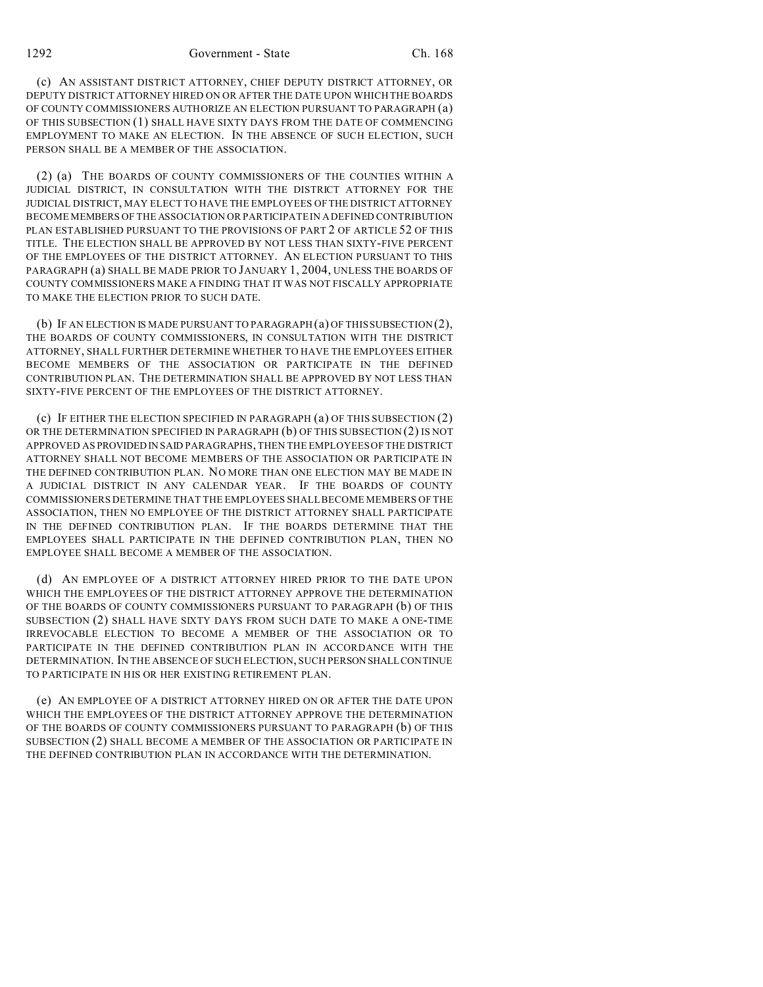1292 Government - State Ch. 168

(c) AN ASSISTANT DISTRICT ATTORNEY, CHIEF DEPUTY DISTRICT ATTORNEY, OR DEPUTY DISTRICT ATTORNEY HIRED ON OR AFTER THE DATE UPON WHICH THE BOARDS OF COUNTY COMMISSIONERS AUTHORIZE AN ELECTION PURSUANT TO PARAGRAPH (a) OF THIS SUBSECTION (1) SHALL HAVE SIXTY DAYS FROM THE DATE OF COMMENCING EMPLOYMENT TO MAKE AN ELECTION. IN THE ABSENCE OF SUCH ELECTION, SUCH PERSON SHALL BE A MEMBER OF THE ASSOCIATION.

(2) (a) THE BOARDS OF COUNTY COMMISSIONERS OF THE COUNTIES WITHIN A JUDICIAL DISTRICT, IN CONSULTATION WITH THE DISTRICT ATTORNEY FOR THE JUDICIAL DISTRICT, MAY ELECT TO HAVE THE EMPLOYEES OF THE DISTRICT ATTORNEY BECOME MEMBERS OF THE ASSOCIATION OR PARTICIPATE IN A DEFINED CONTRIBUTION PLAN ESTABLISHED PURSUANT TO THE PROVISIONS OF PART 2 OF ARTICLE 52 OF THIS TITLE. THE ELECTION SHALL BE APPROVED BY NOT LESS THAN SIXTY-FIVE PERCENT OF THE EMPLOYEES OF THE DISTRICT ATTORNEY. AN ELECTION PURSUANT TO THIS PARAGRAPH (a) SHALL BE MADE PRIOR TO JANUARY 1, 2004, UNLESS THE BOARDS OF COUNTY COMMISSIONERS MAKE A FINDING THAT IT WAS NOT FISCALLY APPROPRIATE TO MAKE THE ELECTION PRIOR TO SUCH DATE.

(b) IF AN ELECTION IS MADE PURSUANT TO PARAGRAPH (a) OF THIS SUBSECTION (2), THE BOARDS OF COUNTY COMMISSIONERS, IN CONSULTATION WITH THE DISTRICT ATTORNEY, SHALL FURTHER DETERMINE WHETHER TO HAVE THE EMPLOYEES EITHER BECOME MEMBERS OF THE ASSOCIATION OR PARTICIPATE IN THE DEFINED CONTRIBUTION PLAN. THE DETERMINATION SHALL BE APPROVED BY NOT LESS THAN SIXTY-FIVE PERCENT OF THE EMPLOYEES OF THE DISTRICT ATTORNEY.

(c) IF EITHER THE ELECTION SPECIFIED IN PARAGRAPH (a) OF THIS SUBSECTION (2) OR THE DETERMINATION SPECIFIED IN PARAGRAPH (b) OF THIS SUBSECTION (2) IS NOT APPROVED AS PROVIDED IN SAID PARAGRAPHS, THEN THE EMPLOYEES OF THE DISTRICT ATTORNEY SHALL NOT BECOME MEMBERS OF THE ASSOCIATION OR PARTICIPATE IN THE DEFINED CONTRIBUTION PLAN. NO MORE THAN ONE ELECTION MAY BE MADE IN A JUDICIAL DISTRICT IN ANY CALENDAR YEAR. IF THE BOARDS OF COUNTY COMMISSIONERS DETERMINE THAT THE EMPLOYEES SHALL BECOME MEMBERS OF THE ASSOCIATION, THEN NO EMPLOYEE OF THE DISTRICT ATTORNEY SHALL PARTICIPATE IN THE DEFINED CONTRIBUTION PLAN. IF THE BOARDS DETERMINE THAT THE EMPLOYEES SHALL PARTICIPATE IN THE DEFINED CONTRIBUTION PLAN, THEN NO EMPLOYEE SHALL BECOME A MEMBER OF THE ASSOCIATION.

(d) AN EMPLOYEE OF A DISTRICT ATTORNEY HIRED PRIOR TO THE DATE UPON WHICH THE EMPLOYEES OF THE DISTRICT ATTORNEY APPROVE THE DETERMINATION OF THE BOARDS OF COUNTY COMMISSIONERS PURSUANT TO PARAGRAPH (b) OF THIS SUBSECTION (2) SHALL HAVE SIXTY DAYS FROM SUCH DATE TO MAKE A ONE-TIME IRREVOCABLE ELECTION TO BECOME A MEMBER OF THE ASSOCIATION OR TO PARTICIPATE IN THE DEFINED CONTRIBUTION PLAN IN ACCORDANCE WITH THE DETERMINATION. IN THE ABSENCE OF SUCH ELECTION, SUCH PERSON SHALL CONTINUE TO PARTICIPATE IN HIS OR HER EXISTING RETIREMENT PLAN.

(e) AN EMPLOYEE OF A DISTRICT ATTORNEY HIRED ON OR AFTER THE DATE UPON WHICH THE EMPLOYEES OF THE DISTRICT ATTORNEY APPROVE THE DETERMINATION OF THE BOARDS OF COUNTY COMMISSIONERS PURSUANT TO PARAGRAPH (b) OF THIS SUBSECTION (2) SHALL BECOME A MEMBER OF THE ASSOCIATION OR PARTICIPATE IN THE DEFINED CONTRIBUTION PLAN IN ACCORDANCE WITH THE DETERMINATION.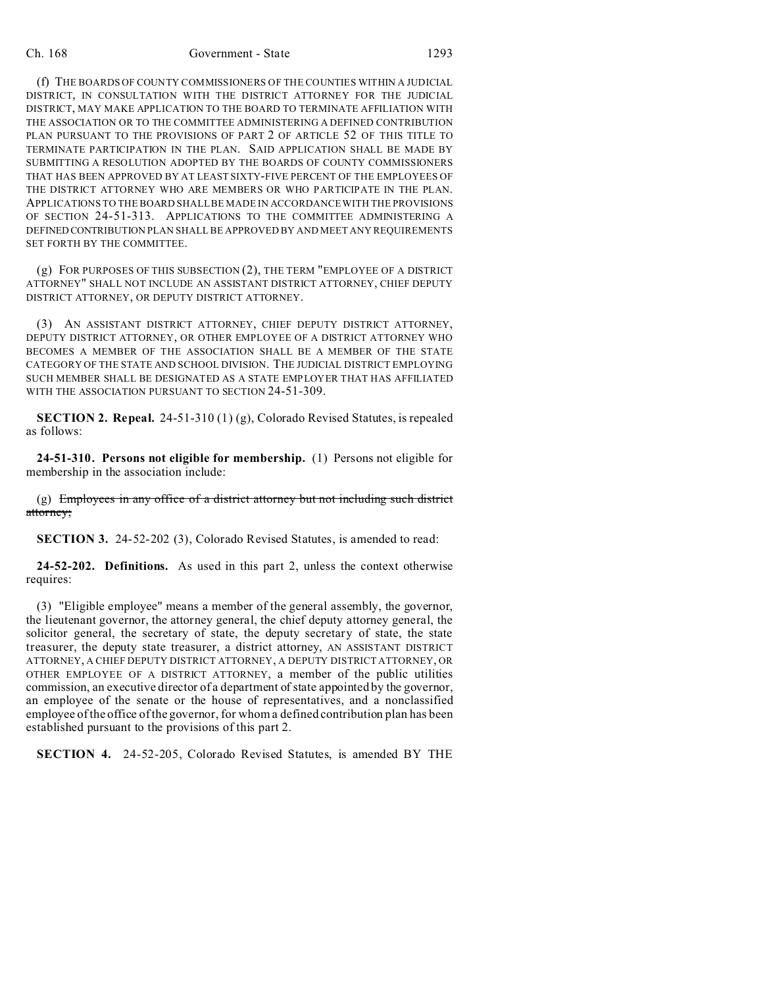## Ch. 168 Government - State 1293

(f) THE BOARDS OF COUNTY COMMISSIONERS OF THE COUNTIES WITHIN A JUDICIAL DISTRICT, IN CONSULTATION WITH THE DISTRICT ATTORNEY FOR THE JUDICIAL DISTRICT, MAY MAKE APPLICATION TO THE BOARD TO TERMINATE AFFILIATION WITH THE ASSOCIATION OR TO THE COMMITTEE ADMINISTERING A DEFINED CONTRIBUTION PLAN PURSUANT TO THE PROVISIONS OF PART 2 OF ARTICLE 52 OF THIS TITLE TO TERMINATE PARTICIPATION IN THE PLAN. SAID APPLICATION SHALL BE MADE BY SUBMITTING A RESOLUTION ADOPTED BY THE BOARDS OF COUNTY COMMISSIONERS THAT HAS BEEN APPROVED BY AT LEAST SIXTY-FIVE PERCENT OF THE EMPLOYEES OF THE DISTRICT ATTORNEY WHO ARE MEMBERS OR WHO PARTICIPATE IN THE PLAN. APPLICATIONS TO THE BOARD SHALL BE MADE IN ACCORDANCE WITH THE PROVISIONS OF SECTION 24-51-313. APPLICATIONS TO THE COMMITTEE ADMINISTERING A DEFINED CONTRIBUTION PLAN SHALL BE APPROVED BY AND MEET ANY REQUIREMENTS SET FORTH BY THE COMMITTEE.

(g) FOR PURPOSES OF THIS SUBSECTION (2), THE TERM "EMPLOYEE OF A DISTRICT ATTORNEY" SHALL NOT INCLUDE AN ASSISTANT DISTRICT ATTORNEY, CHIEF DEPUTY DISTRICT ATTORNEY, OR DEPUTY DISTRICT ATTORNEY.

(3) AN ASSISTANT DISTRICT ATTORNEY, CHIEF DEPUTY DISTRICT ATTORNEY, DEPUTY DISTRICT ATTORNEY, OR OTHER EMPLOYEE OF A DISTRICT ATTORNEY WHO BECOMES A MEMBER OF THE ASSOCIATION SHALL BE A MEMBER OF THE STATE CATEGORY OF THE STATE AND SCHOOL DIVISION. THE JUDICIAL DISTRICT EMPLOYING SUCH MEMBER SHALL BE DESIGNATED AS A STATE EMPLOYER THAT HAS AFFILIATED WITH THE ASSOCIATION PURSUANT TO SECTION 24-51-309.

**SECTION 2. Repeal.** 24-51-310 (1) (g), Colorado Revised Statutes, is repealed as follows:

**24-51-310. Persons not eligible for membership.** (1) Persons not eligible for membership in the association include:

 $(g)$  Employees in any office of a district attorney but not including such district attorney;

**SECTION 3.** 24-52-202 (3), Colorado Revised Statutes, is amended to read:

**24-52-202. Definitions.** As used in this part 2, unless the context otherwise requires:

(3) "Eligible employee" means a member of the general assembly, the governor, the lieutenant governor, the attorney general, the chief deputy attorney general, the solicitor general, the secretary of state, the deputy secretary of state, the state treasurer, the deputy state treasurer, a district attorney, AN ASSISTANT DISTRICT ATTORNEY, A CHIEF DEPUTY DISTRICT ATTORNEY, A DEPUTY DISTRICT ATTORNEY, OR OTHER EMPLOYEE OF A DISTRICT ATTORNEY, a member of the public utilities commission, an executive director of a department of state appointed by the governor, an employee of the senate or the house of representatives, and a nonclassified employee of the office of the governor, for whom a defined contribution plan has been established pursuant to the provisions of this part 2.

**SECTION 4.** 24-52-205, Colorado Revised Statutes, is amended BY THE